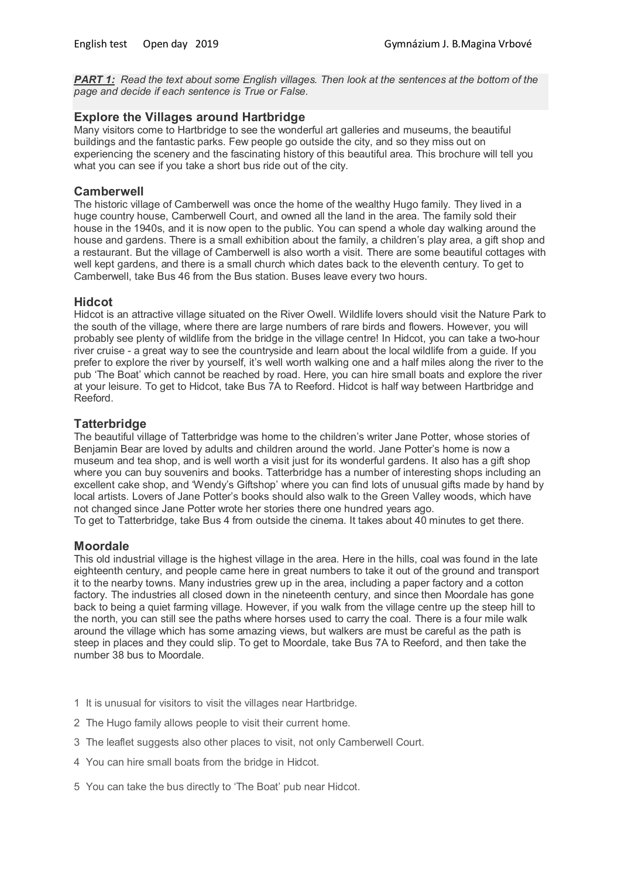*PART 1: Read the text about some English villages. Then look at the sentences at the bottom of the page and decide if each sentence is True or False.*

## **Explore the Villages around Hartbridge**

Many visitors come to Hartbridge to see the wonderful art galleries and museums, the beautiful buildings and the fantastic parks. Few people go outside the city, and so they miss out on experiencing the scenery and the fascinating history of this beautiful area. This brochure will tell you what you can see if you take a short bus ride out of the city.

### **Camberwell**

The historic village of Camberwell was once the home of the wealthy Hugo family. They lived in a huge country house, Camberwell Court, and owned all the land in the area. The family sold their house in the 1940s, and it is now open to the public. You can spend a whole day walking around the house and gardens. There is a small exhibition about the family, a children's play area, a gift shop and a restaurant. But the village of Camberwell is also worth a visit. There are some beautiful cottages with well kept gardens, and there is a small church which dates back to the eleventh century. To get to Camberwell, take Bus 46 from the Bus station. Buses leave every two hours.

#### **Hidcot**

Hidcot is an attractive village situated on the River Owell. Wildlife lovers should visit the Nature Park to the south of the village, where there are large numbers of rare birds and flowers. However, you will probably see plenty of wildlife from the bridge in the village centre! In Hidcot, you can take a two-hour river cruise - a great way to see the countryside and learn about the local wildlife from a guide. If you prefer to explore the river by yourself, it's well worth walking one and a half miles along the river to the pub 'The Boat' which cannot be reached by road. Here, you can hire small boats and explore the river at your leisure. To get to Hidcot, take Bus 7A to Reeford. Hidcot is half way between Hartbridge and Reeford.

## **Tatterbridge**

The beautiful village of Tatterbridge was home to the children's writer Jane Potter, whose stories of Benjamin Bear are loved by adults and children around the world. Jane Potter's home is now a museum and tea shop, and is well worth a visit just for its wonderful gardens. It also has a gift shop where you can buy souvenirs and books. Tatterbridge has a number of interesting shops including an excellent cake shop, and 'Wendy's Giftshop' where you can find lots of unusual gifts made by hand by local artists. Lovers of Jane Potter's books should also walk to the Green Valley woods, which have not changed since Jane Potter wrote her stories there one hundred years ago. To get to Tatterbridge, take Bus 4 from outside the cinema. It takes about 40 minutes to get there.

#### **Moordale**

This old industrial village is the highest village in the area. Here in the hills, coal was found in the late eighteenth century, and people came here in great numbers to take it out of the ground and transport it to the nearby towns. Many industries grew up in the area, including a paper factory and a cotton factory. The industries all closed down in the nineteenth century, and since then Moordale has gone back to being a quiet farming village. However, if you walk from the village centre up the steep hill to the north, you can still see the paths where horses used to carry the coal. There is a four mile walk around the village which has some amazing views, but walkers are must be careful as the path is steep in places and they could slip. To get to Moordale, take Bus 7A to Reeford, and then take the number 38 bus to Moordale.

- 1 It is unusual for visitors to visit the villages near Hartbridge.
- 2 The Hugo family allows people to visit their current home.
- 3 The leaflet suggests also other places to visit, not only Camberwell Court.
- 4 You can hire small boats from the bridge in Hidcot.
- 5 You can take the bus directly to 'The Boat' pub near Hidcot.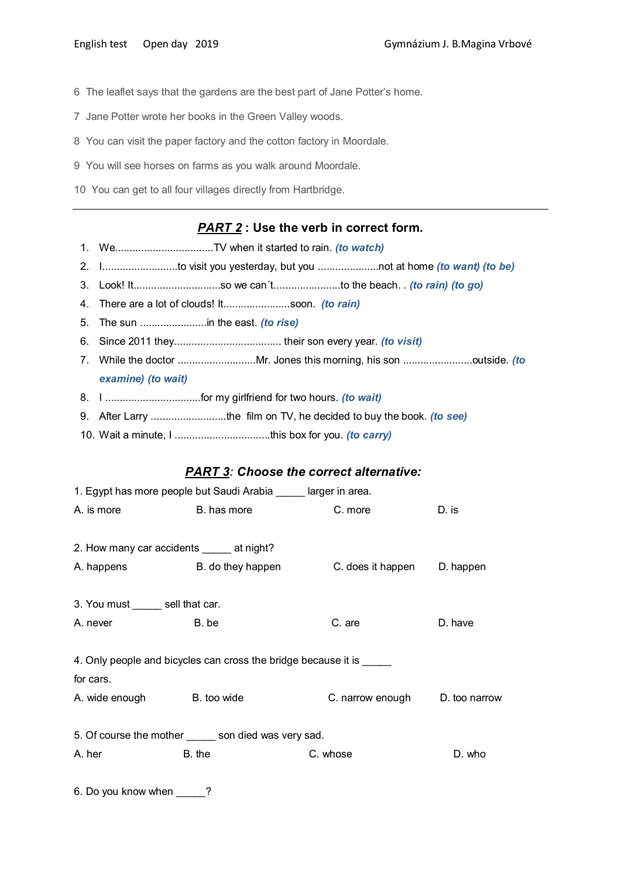- 6 The leaflet says that the gardens are the best part of Jane Potter's home.
- 7 Jane Potter wrote her books in the Green Valley woods.
- 8 You can visit the paper factory and the cotton factory in Moordale.
- 9 You will see horses on farms as you walk around Moordale.
- 10 You can get to all four villages directly from Hartbridge.

## *PART 2* **: Use the verb in correct form.**

- 1. We..................................TV when it started to rain. *(to watch)*
- 2. I..........................to visit you yesterday, but you .....................not at home *(to want) (to be)*
- 3. Look! It..............................so we can´t.......................to the beach. . *(to rain) (to go)*
- 4. There are a lot of clouds! It.......................soon. *(to rain)*
- 5. The sun .......................in the east. *(to rise)*
- 6. Since 2011 they..................................... their son every year. *(to visit)*
- 7. While the doctor ...........................Mr. Jones this morning, his son ........................outside. *(to examine) (to wait)*
- 8. I .................................for my girlfriend for two hours. *(to wait)*
- 9. After Larry ..........................the film on TV, he decided to buy the book. *(to see)*
- 10. Wait a minute, I .................................this box for you. *(to carry)*

#### *PART 3: Choose the correct alternative:*

|                                            | 1. Egypt has more people but Saudi Arabia _____ larger in area.      |                                |         |
|--------------------------------------------|----------------------------------------------------------------------|--------------------------------|---------|
| A. is more                                 | B. has more                                                          | C. more                        | D. is   |
|                                            |                                                                      |                                |         |
| 2. How many car accidents ______ at night? |                                                                      |                                |         |
|                                            | A. happens B. do they happen                                         | C. does it happen D. happen    |         |
|                                            |                                                                      |                                |         |
| 3. You must ______ sell that car.          |                                                                      |                                |         |
| A. never                                   | B. be                                                                | C. are                         | D. have |
|                                            |                                                                      |                                |         |
|                                            | 4. Only people and bicycles can cross the bridge because it is _____ |                                |         |
| for cars.                                  |                                                                      |                                |         |
| A. wide enough B. too wide                 |                                                                      | C. narrow enough D. too narrow |         |
|                                            |                                                                      |                                |         |
|                                            | 5. Of course the mother ______ son died was very sad.                |                                |         |
| A. her                                     | B. the                                                               | C. whose                       | D. who  |
|                                            |                                                                      |                                |         |
| 6. Do you know when                        | ?                                                                    |                                |         |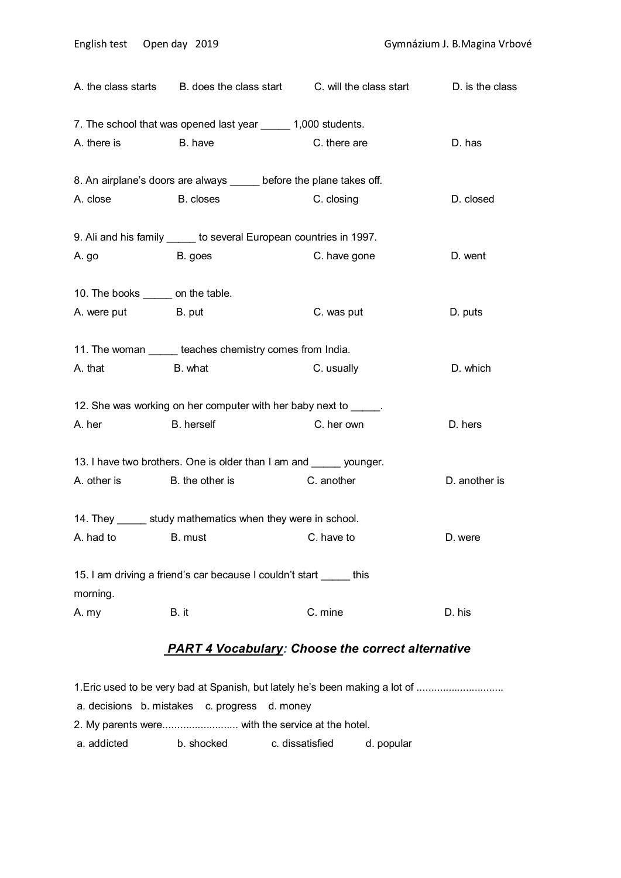|                                    | A. the class starts B. does the class start C. will the class start D. is the class |              |               |
|------------------------------------|-------------------------------------------------------------------------------------|--------------|---------------|
|                                    | 7. The school that was opened last year ______ 1,000 students.                      |              |               |
| A. there is B. have                |                                                                                     | C. there are | D. has        |
|                                    | 8. An airplane's doors are always _____ before the plane takes off.                 |              |               |
| A. close B. closes                 |                                                                                     | C. closing   | D. closed     |
|                                    | 9. Ali and his family _____ to several European countries in 1997.                  |              |               |
| A.go B.goes                        |                                                                                     | C. have gone | D. went       |
| 10. The books ______ on the table. |                                                                                     |              |               |
| A. were put B. put                 |                                                                                     | C. was put   | D. puts       |
|                                    | 11. The woman ______ teaches chemistry comes from India.                            |              |               |
| A. that B. what                    |                                                                                     | C. usually   | D. which      |
|                                    | 12. She was working on her computer with her baby next to _____.                    |              |               |
| A. her                             | <b>Example 1</b> B. herself                                                         | C. her own   | D. hers       |
|                                    | 13. I have two brothers. One is older than I am and _____ younger.                  |              |               |
|                                    | A. other is B. the other is                                                         | C. another   | D. another is |
|                                    | 14. They _______ study mathematics when they were in school.                        |              |               |
| A. had to                          | B. must                                                                             | C. have to   | D. were       |
| morning.                           | 15. I am driving a friend's car because I couldn't start this                       |              |               |
| A. my                              | B. it                                                                               | C. mine      | D. his        |
|                                    |                                                                                     |              |               |

# *PART 4 Vocabulary: Choose the correct alternative*

1. Eric used to be very bad at Spanish, but lately he's been making a lot of ................................ a. decisions b. mistakes c. progress d. money 2. My parents were................................ with the service at the hotel. a. addicted b. shocked c. dissatisfied d. popular